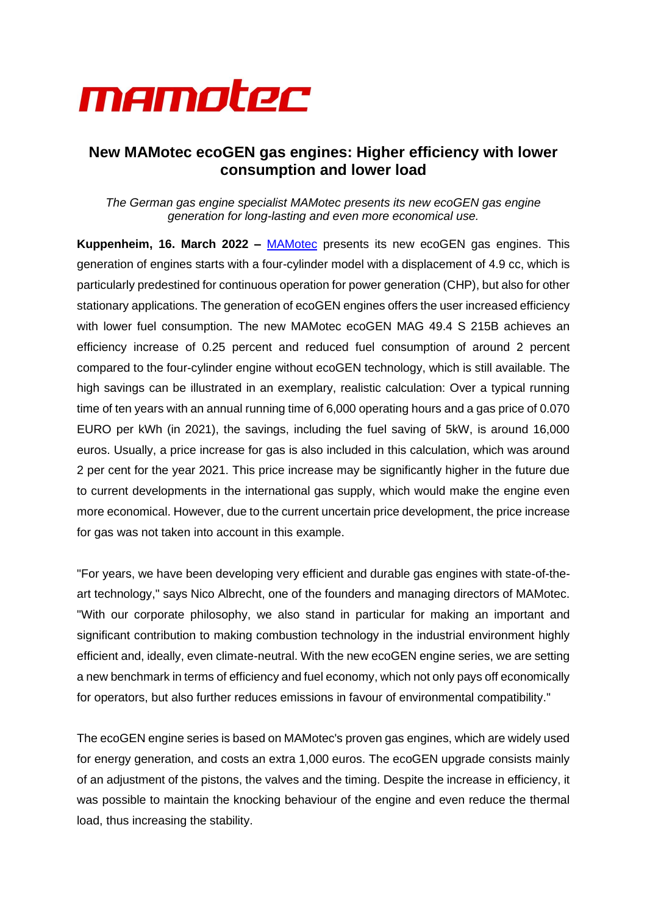

# **New MAMotec ecoGEN gas engines: Higher efficiency with lower consumption and lower load**

*The German gas engine specialist MAMotec presents its new ecoGEN gas engine generation for long-lasting and even more economical use.*

**Kuppenheim, 16. March 2022 –** [MAMotec](https://mamotec-online.de/) presents its new ecoGEN gas engines. This generation of engines starts with a four-cylinder model with a displacement of 4.9 cc, which is particularly predestined for continuous operation for power generation (CHP), but also for other stationary applications. The generation of ecoGEN engines offers the user increased efficiency with lower fuel consumption. The new MAMotec ecoGEN MAG 49.4 S 215B achieves an efficiency increase of 0.25 percent and reduced fuel consumption of around 2 percent compared to the four-cylinder engine without ecoGEN technology, which is still available. The high savings can be illustrated in an exemplary, realistic calculation: Over a typical running time of ten years with an annual running time of 6,000 operating hours and a gas price of 0.070 EURO per kWh (in 2021), the savings, including the fuel saving of 5kW, is around 16,000 euros. Usually, a price increase for gas is also included in this calculation, which was around 2 per cent for the year 2021. This price increase may be significantly higher in the future due to current developments in the international gas supply, which would make the engine even more economical. However, due to the current uncertain price development, the price increase for gas was not taken into account in this example.

"For years, we have been developing very efficient and durable gas engines with state-of-theart technology," says Nico Albrecht, one of the founders and managing directors of MAMotec. "With our corporate philosophy, we also stand in particular for making an important and significant contribution to making combustion technology in the industrial environment highly efficient and, ideally, even climate-neutral. With the new ecoGEN engine series, we are setting a new benchmark in terms of efficiency and fuel economy, which not only pays off economically for operators, but also further reduces emissions in favour of environmental compatibility."

The ecoGEN engine series is based on MAMotec's proven gas engines, which are widely used for energy generation, and costs an extra 1,000 euros. The ecoGEN upgrade consists mainly of an adjustment of the pistons, the valves and the timing. Despite the increase in efficiency, it was possible to maintain the knocking behaviour of the engine and even reduce the thermal load, thus increasing the stability.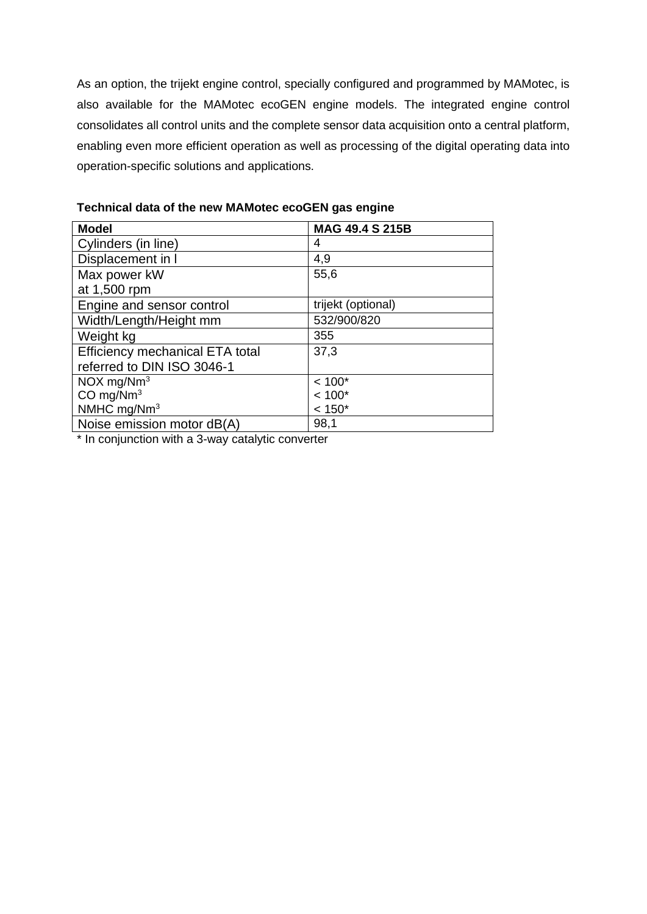As an option, the trijekt engine control, specially configured and programmed by MAMotec, is also available for the MAMotec ecoGEN engine models. The integrated engine control consolidates all control units and the complete sensor data acquisition onto a central platform, enabling even more efficient operation as well as processing of the digital operating data into operation-specific solutions and applications.

| <b>Model</b>                    | <b>MAG 49.4 S 215B</b> |
|---------------------------------|------------------------|
| Cylinders (in line)             | 4                      |
| Displacement in I               | 4,9                    |
| Max power kW                    | 55,6                   |
| at 1,500 rpm                    |                        |
| Engine and sensor control       | trijekt (optional)     |
| Width/Length/Height mm          | 532/900/820            |
| Weight kg                       | 355                    |
| Efficiency mechanical ETA total | 37,3                   |
| referred to DIN ISO 3046-1      |                        |
| $NOX$ mg/ $Nm3$                 | $< 100*$               |
| CO mg/ $Nm^3$                   | $< 100*$               |
| NMHC mg/Nm <sup>3</sup>         | $< 150*$               |
| Noise emission motor dB(A)      | 98,1                   |

**Technical data of the new MAMotec ecoGEN gas engine**

\* In conjunction with a 3-way catalytic converter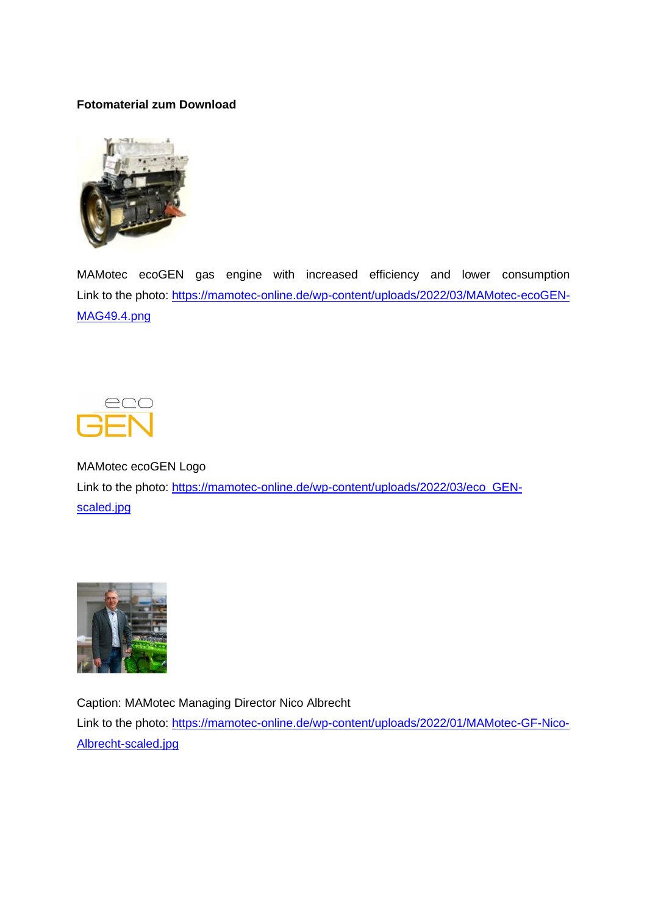## **Fotomaterial zum Download**



MAMotec ecoGEN gas engine with increased efficiency and lower consumption Link to the photo: [https://mamotec-online.de/wp-content/uploads/2022/03/MAMotec-ecoGEN-](https://mamotec-online.de/wp-content/uploads/2022/03/MAMotec-ecoGEN-MAG49.4.png)[MAG49.4.png](https://mamotec-online.de/wp-content/uploads/2022/03/MAMotec-ecoGEN-MAG49.4.png)



MAMotec ecoGEN Logo Link to the photo: [https://mamotec-online.de/wp-content/uploads/2022/03/eco\\_GEN](https://mamotec-online.de/wp-content/uploads/2022/03/eco_GEN-scaled.jpg)[scaled.jpg](https://mamotec-online.de/wp-content/uploads/2022/03/eco_GEN-scaled.jpg)



Caption: MAMotec Managing Director Nico Albrecht Link to the photo: [https://mamotec-online.de/wp-content/uploads/2022/01/MAMotec-GF-Nico-](https://mamotec-online.de/wp-content/uploads/2022/01/MAMotec-GF-Nico-Albrecht-scaled.jpg)[Albrecht-scaled.jpg](https://mamotec-online.de/wp-content/uploads/2022/01/MAMotec-GF-Nico-Albrecht-scaled.jpg)